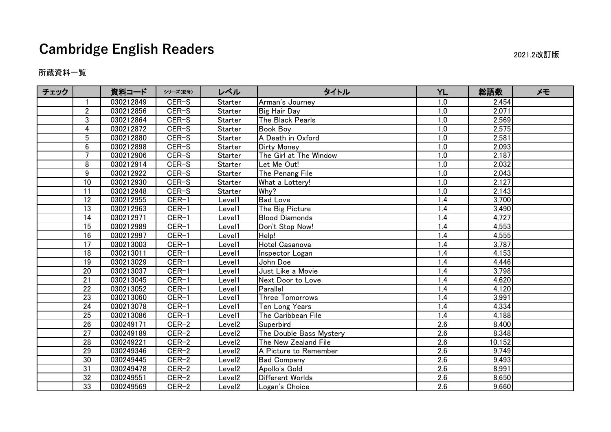## **Cambridge English Readers** 2021.2改訂版

## 所蔵資料一覧

| チェック |                 | 資料コード     | シリーズ(記号) | レベル                | タイトル                    | <b>YL</b>        | 総語数    | メモ |
|------|-----------------|-----------|----------|--------------------|-------------------------|------------------|--------|----|
|      |                 | 030212849 | CER-S    | Starter            | Arman's Journey         | 1.0              | 2,454  |    |
|      | $\overline{2}$  | 030212856 | CER-S    | Starter            | <b>Big Hair Day</b>     | 1.0              | 2,071  |    |
|      | 3               | 030212864 | CER-S    | Starter            | The Black Pearls        | 1.0              | 2,569  |    |
|      | 4               | 030212872 | CER-S    | Starter            | <b>Book Boy</b>         | 1.0              | 2,575  |    |
|      | 5               | 030212880 | CER-S    | Starter            | A Death in Oxford       | 1.0              | 2,581  |    |
|      | 6               | 030212898 | CER-S    | Starter            | Dirty Money             | 1.0              | 2,093  |    |
|      | $\overline{7}$  | 030212906 | CER-S    | Starter            | The Girl at The Window  | 1.0              | 2,187  |    |
|      | 8               | 030212914 | CER-S    | Starter            | Let Me Out!             | 1.0              | 2,032  |    |
|      | 9               | 030212922 | CER-S    | Starter            | The Penang File         | 1.0              | 2,043  |    |
|      | $\overline{10}$ | 030212930 | CER-S    | Starter            | What a Lottery!         | 1.0              | 2,127  |    |
|      | 11              | 030212948 | CER-S    | Starter            | Why?                    | 1.0              | 2,143  |    |
|      | 12              | 030212955 | $CER-1$  | Level1             | <b>Bad Love</b>         | 1.4              | 3,700  |    |
|      | 13              | 030212963 | $CER-1$  | Level1             | The Big Picture         | 1.4              | 3,490  |    |
|      | 14              | 030212971 | $CER-1$  | Level1             | <b>Blood Diamonds</b>   | 1.4              | 4,727  |    |
|      | 15              | 030212989 | $CER-1$  | Level1             | Don't Stop Now!         | 1.4              | 4,553  |    |
|      | $\overline{16}$ | 030212997 | $CER-1$  | Level1             | Help!                   | 1.4              | 4,555  |    |
|      | 17              | 030213003 | $CER-1$  | Level1             | Hotel Casanova          | 1.4              | 3,787  |    |
|      | 18              | 030213011 | $CER-1$  | Level1             | Inspector Logan         | 1.4              | 4,153  |    |
|      | 19              | 030213029 | $CER-1$  | Level1             | John Doe                | 1.4              | 4,446  |    |
|      | 20              | 030213037 | $CER-1$  | Level1             | Just Like a Movie       | 1.4              | 3,798  |    |
|      | 21              | 030213045 | CER-1    | Level1             | Next Door to Love       | 1.4              | 4,620  |    |
|      | $\overline{22}$ | 030213052 | $CER-1$  | Level1             | Parallel                | 1.4              | 4,120  |    |
|      | 23              | 030213060 | $CER-1$  | Level1             | Three Tomorrows         | 1.4              | 3,991  |    |
|      | 24              | 030213078 | $CER-1$  | Level1             | Ten Long Years          | 1.4              | 4,334  |    |
|      | $\overline{25}$ | 030213086 | $CER-1$  | Level1             | The Caribbean File      | 1.4              | 4,188  |    |
|      | 26              | 030249171 | CER-2    | Level <sub>2</sub> | Superbird               | 2.6              | 8,400  |    |
|      | 27              | 030249189 | CER-2    | Level <sub>2</sub> | The Double Bass Mystery | 2.6              | 8,348  |    |
|      | $\overline{28}$ | 030249221 | $CER-2$  | Level <sub>2</sub> | The New Zealand File    | $\overline{2.6}$ | 10,152 |    |
|      | 29              | 030249346 | $CER-2$  | Level <sub>2</sub> | A Picture to Remember   | 2.6              | 9,749  |    |
|      | 30              | 030249445 | $CER-2$  | Level <sub>2</sub> | <b>Bad Company</b>      | 2.6              | 9,493  |    |
|      | $\overline{31}$ | 030249478 | CER-2    | Level <sub>2</sub> | Apollo's Gold           | 2.6              | 8,991  |    |
|      | 32              | 030249551 | CER-2    | Level <sub>2</sub> | Different Worlds        | 2.6              | 8,650  |    |
|      | 33              | 030249569 | CER-2    | Level <sub>2</sub> | Logan's Choice          | 2.6              | 9,660  |    |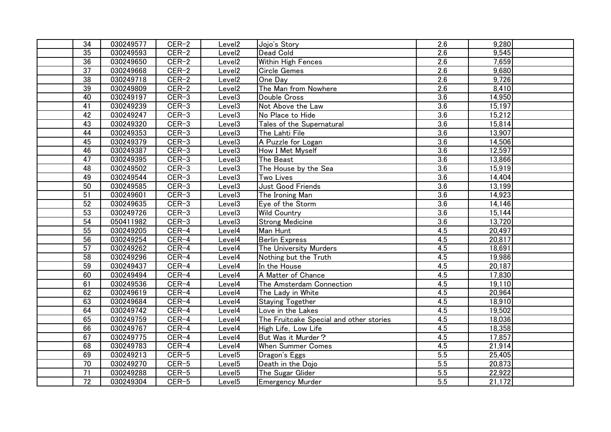| $\overline{34}$ | 030249577 | CER-2   | Level <sub>2</sub> | Jojo's Story                            | 2.6              | 9,280  |  |
|-----------------|-----------|---------|--------------------|-----------------------------------------|------------------|--------|--|
| $\overline{35}$ | 030249593 | $CER-2$ | Level <sub>2</sub> | Dead Cold                               | $\overline{2.6}$ | 9,545  |  |
| 36              | 030249650 | CER-2   | Level <sub>2</sub> | Within High Fences                      | 2.6              | 7,659  |  |
| $\overline{37}$ | 030249668 | $CER-2$ | Level <sub>2</sub> | <b>Circle Gemes</b>                     | 2.6              | 9,680  |  |
| $\overline{38}$ | 030249718 | $CER-2$ | Level <sub>2</sub> | One Day                                 | 2.6              | 9,726  |  |
| 39              | 030249809 | $CER-2$ | Level <sub>2</sub> | The Man from Nowhere                    | 2.6              | 8,410  |  |
| 40              | 030249197 | $CER-3$ | Level <sub>3</sub> | Double Cross                            | 3.6              | 14,950 |  |
| 41              | 030249239 | $CER-3$ | Level <sub>3</sub> | Not Above the Law                       | $\overline{3.6}$ | 15,197 |  |
| 42              | 030249247 | $CER-3$ | Level <sub>3</sub> | No Place to Hide                        | $\overline{3.6}$ | 15,212 |  |
| 43              | 030249320 | $CER-3$ | Level <sub>3</sub> | Tales of the Supernatural               | $\overline{3.6}$ | 15,814 |  |
| 44              | 030249353 | $CER-3$ | Level <sub>3</sub> | The Lahti File                          | 3.6              | 13,907 |  |
| 45              | 030249379 | $CER-3$ | Level3             | A Puzzle for Logan                      | 3.6              | 14,506 |  |
| 46              | 030249387 | $CER-3$ | Level3             | How I Met Myself                        | 3.6              | 12,597 |  |
| $\overline{47}$ | 030249395 | $CER-3$ | Level3             | The Beast                               | $\overline{3.6}$ | 13,866 |  |
| 48              | 030249502 | $CER-3$ | Level3             | The House by the Sea                    | $\overline{3.6}$ | 15,919 |  |
| 49              | 030249544 | $CER-3$ | Level3             | Two Lives                               | 3.6              | 14,404 |  |
| $\overline{50}$ | 030249585 | $CER-3$ | Level3             | Just Good Friends                       | 3.6              | 13,199 |  |
| 51              | 030249601 | $CER-3$ | Level3             | The Ironing Man                         | 3.6              | 14,923 |  |
| 52              | 030249635 | $CER-3$ | Level <sub>3</sub> | Eye of the Storm                        | $\overline{3.6}$ | 14,146 |  |
| 53              | 030249726 | $CER-3$ | Level <sub>3</sub> | <b>Wild Country</b>                     | 3.6              | 15,144 |  |
| 54              | 050411982 | $CER-3$ | Level <sub>3</sub> | <b>Strong Medicine</b>                  | 3.6              | 13,720 |  |
| 55              | 030249205 | $CER-4$ | Level4             | Man Hunt                                | 4.5              | 20,497 |  |
| 56              | 030249254 | CER-4   | Level4             | <b>Berlin Express</b>                   | 4.5              | 20,817 |  |
| 57              | 030249262 | CER-4   | Level4             | The University Murders                  | 4.5              | 18,691 |  |
| 58              | 030249296 | $CER-4$ | Level4             | Nothing but the Truth                   | 4.5              | 19,986 |  |
| 59              | 030249437 | CER-4   | Level4             | In the House                            | 4.5              | 20,187 |  |
| 60              | 030249494 | $CER-4$ | Level4             | A Matter of Chance                      | 4.5              | 17,830 |  |
| 61              | 030249536 | $CER-4$ | Level4             | The Amsterdam Connection                | 4.5              | 19,110 |  |
| 62              | 030249619 | CER-4   | Level4             | The Lady in White                       | 4.5              | 20,964 |  |
| 63              | 030249684 | CER-4   | Level4             | <b>Staying Together</b>                 | 4.5              | 18,910 |  |
| 64              | 030249742 | $CER-4$ | Level4             | Love in the Lakes                       | 4.5              | 19,502 |  |
| 65              | 030249759 | CER-4   | Level4             | The Fruitcake Special and other stories | 4.5              | 18,036 |  |
| 66              | 030249767 | CER-4   | Level4             | High Life, Low Life                     | 4.5              | 18,358 |  |
| 67              | 030249775 | $CER-4$ | Level4             | But Was it Murder?                      | 4.5              | 17,857 |  |
| 68              | 030249783 | CER-4   | Level4             | <b>When Summer Comes</b>                | 4.5              | 21,914 |  |
| 69              | 030249213 | $CER-5$ | Level <sub>5</sub> | Dragon's Eggs                           | $\overline{5.5}$ | 25,405 |  |
| 70              | 030249270 | $CER-5$ | Level <sub>5</sub> | Death in the Dojo                       | 5.5              | 20,873 |  |
| 71              | 030249288 | CER-5   | Level <sub>5</sub> | The Sugar Glider                        | 5.5              | 22,922 |  |
| $\overline{72}$ | 030249304 | CER-5   | Level <sub>5</sub> | <b>Emergency Murder</b>                 | 5.5              | 21,172 |  |